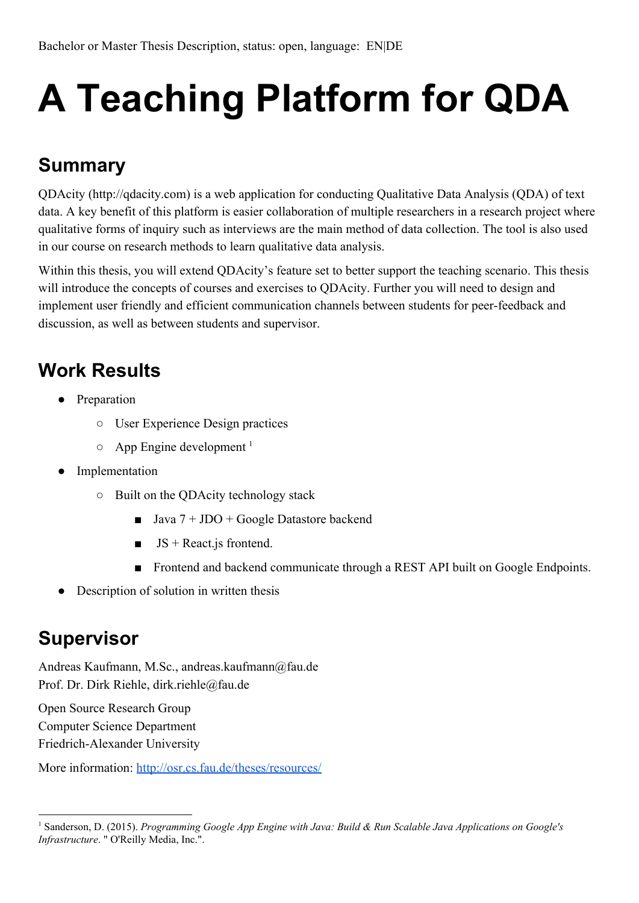## **A Teaching Platform for QDA**

## **Summary**

QDAcity (http://qdacity.com) is a web application for conducting Qualitative Data Analysis (QDA) of text data. A key benefit of this platform is easier collaboration of multiple researchers in a research project where qualitative forms of inquiry such as interviews are the main method of data collection. The tool is also used in our course on research methods to learn qualitative data analysis.

Within this thesis, you will extend QDAcity's feature set to better support the teaching scenario. This thesis will introduce the concepts of courses and exercises to QDAcity. Further you will need to design and implement user friendly and efficient communication channels between students for peer-feedback and discussion, as well as between students and supervisor.

## **Work Results**

- Preparation
	- User Experience Design practices
	- $\circ$  App Engine development<sup>1</sup>
- Implementation
	- Built on the QDAcity technology stack
		- Java  $7 + JDO + Google$  Datastore backend
		- $\blacksquare$  JS + React. is frontend.
		- Frontend and backend communicate through a REST API built on Google Endpoints.
- Description of solution in written thesis

## **Supervisor**

Andreas Kaufmann, M.Sc., andreas.kaufmann@fau.de Prof. Dr. Dirk Riehle, dirk.riehle@fau.de

Open Source Research Group Computer Science Department Friedrich-Alexander University

More information: <http://osr.cs.fau.de/theses/resources/>

<sup>1</sup> Sanderson, D. (2015). *Programming Google App Engine with Java: Build & Run Scalable Java Applications on Google's Infrastructure*. " O'Reilly Media, Inc.".